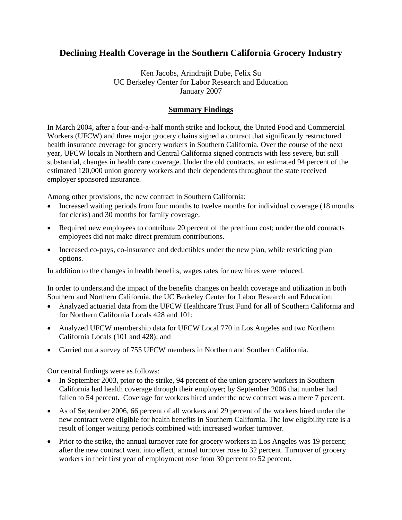## **Declining Health Coverage in the Southern California Grocery Industry**

Ken Jacobs, Arindrajit Dube, Felix Su UC Berkeley Center for Labor Research and Education January 2007

## **Summary Findings**

In March 2004, after a four-and-a-half month strike and lockout, the United Food and Commercial Workers (UFCW) and three major grocery chains signed a contract that significantly restructured health insurance coverage for grocery workers in Southern California. Over the course of the next year, UFCW locals in Northern and Central California signed contracts with less severe, but still substantial, changes in health care coverage. Under the old contracts, an estimated 94 percent of the estimated 120,000 union grocery workers and their dependents throughout the state received employer sponsored insurance.

Among other provisions, the new contract in Southern California:

- Increased waiting periods from four months to twelve months for individual coverage (18 months for clerks) and 30 months for family coverage.
- Required new employees to contribute 20 percent of the premium cost; under the old contracts employees did not make direct premium contributions.
- Increased co-pays, co-insurance and deductibles under the new plan, while restricting plan options.

In addition to the changes in health benefits, wages rates for new hires were reduced.

In order to understand the impact of the benefits changes on health coverage and utilization in both Southern and Northern California, the UC Berkeley Center for Labor Research and Education:

- Analyzed actuarial data from the UFCW Healthcare Trust Fund for all of Southern California and for Northern California Locals 428 and 101;
- Analyzed UFCW membership data for UFCW Local 770 in Los Angeles and two Northern California Locals (101 and 428); and
- Carried out a survey of 755 UFCW members in Northern and Southern California.

Our central findings were as follows:

- In September 2003, prior to the strike, 94 percent of the union grocery workers in Southern California had health coverage through their employer; by September 2006 that number had fallen to 54 percent. Coverage for workers hired under the new contract was a mere 7 percent.
- As of September 2006, 66 percent of all workers and 29 percent of the workers hired under the new contract were eligible for health benefits in Southern California. The low eligibility rate is a result of longer waiting periods combined with increased worker turnover.
- Prior to the strike, the annual turnover rate for grocery workers in Los Angeles was 19 percent; after the new contract went into effect, annual turnover rose to 32 percent. Turnover of grocery workers in their first year of employment rose from 30 percent to 52 percent.